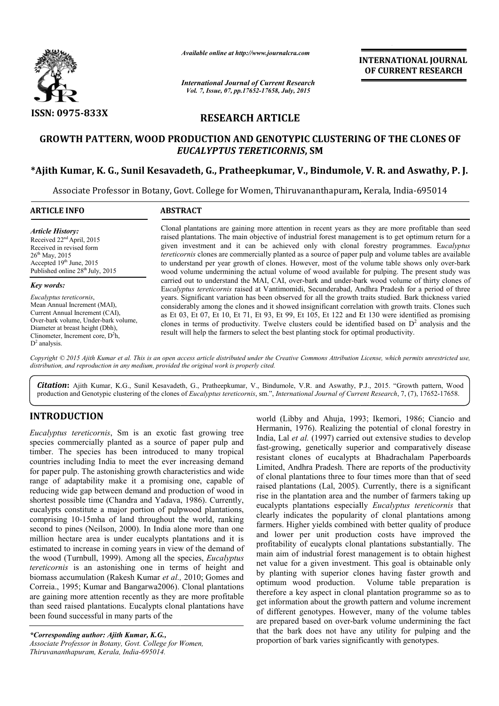

*Available online at http://www.journalcra.com*

*International Journal of Current Research Vol. 7, Issue, 07, pp.17652-17658, July, 2015*

**INTERNATIONAL INTERNATIONAL JOURNAL OF CURRENT RESEARCH** 

# **RESEARCH ARTICLE**

# **GROWTH PATTERN, WOOD PRODUCTION AND GENOTYPIC CLUSTERING OF THE CLONES OF GENOTYPIC CLUSTERING Bindumole, V. R. and Aswathy, P. J.** *EUCALYPTUS TERETICORNIS* **, SM**

## **\*Ajith Kumar, K. G., Sunil Kesavadeth Kesavadeth, G., Pratheepkumar, V., Bindumole**

Associate Professor in Botany, Govt. College for Women, Thiruvananthapuram, Kerala, India-695014

| <b>ARTICLE INFO</b>                                                                                                                                                                                                                              | <b>ABSTRACT</b>                                                                                                                                                                                                                                                                                                                                                                                                                                                                                                                                                                                                                                                                                                                     |  |  |
|--------------------------------------------------------------------------------------------------------------------------------------------------------------------------------------------------------------------------------------------------|-------------------------------------------------------------------------------------------------------------------------------------------------------------------------------------------------------------------------------------------------------------------------------------------------------------------------------------------------------------------------------------------------------------------------------------------------------------------------------------------------------------------------------------------------------------------------------------------------------------------------------------------------------------------------------------------------------------------------------------|--|--|
| <b>Article History:</b><br>Received $22nd$ April, 2015<br>Received in revised form<br>$26^{\text{th}}$ May, 2015<br>Accepted $19th$ June, 2015<br>Published online 28 <sup>th</sup> July, 2015                                                   | Clonal plantations are gaining more attention in recent years as they are more profitable than seed<br>raised plantations. The main objective of industrial forest management is to get optimum return for a<br>given investment and it can be achieved only with clonal forestry programmes. Eucalyptus<br>tereticornis clones are commercially planted as a source of paper pulp and volume tables are available<br>to understand per year growth of clones. However, most of the volume table shows only over-bark<br>wood volume undermining the actual volume of wood available for pulping. The present study was                                                                                                             |  |  |
| Key words:<br>Eucalyptus tereticornis,<br>Mean Annual Increment (MAI),<br>Current Annual Increment (CAI),<br>Over-bark volume, Under-bark volume,<br>Diameter at breast height (Dbh),<br>Clinometer, Increment core, $D^2h$ ,<br>$D^2$ analysis. | carried out to understand the MAI, CAI, over-bark and under-bark wood volume of thirty clones of<br>Eucalyptus tereticornis raised at Vantimomidi, Secunderabad, Andhra Pradesh for a period of three<br>years. Significant variation has been observed for all the growth traits studied. Bark thickness varied<br>considerably among the clones and it showed insignificant correlation with growth traits. Clones such<br>as Et 03, Et 07, Et 10, Et 71, Et 93, Et 99, Et 105, Et 122 and Et 130 were identified as promising<br>clones in terms of productivity. Twelve clusters could be identified based on $D2$ analysis and the<br>result will help the farmers to select the best planting stock for optimal productivity. |  |  |

Copyright © 2015 Ajith Kumar et al. This is an open access article distributed under the Creative Commons Attribution License, which permits unrestricted use, *distribution, and reproduction in any medium, provided the original work is properly cited.*

Citation: Ajith Kumar, K.G., Sunil Kesavadeth, G., Pratheepkumar, V., Bindumole, V.R. and Aswathy, P.J., 2015. "Growth pattern, Wood **Citation:** Ajith Kumar, K.G., Sunil Kesavadeth, G., Pratheepkumar, V., Bindumole, V.R. and Aswathy, P.J., 2015. "Growth pattern, Woord production and Genotypic clustering of the clones of *Eucalyptus tereticornis*, sm.",

# **INTRODUCTION**

*Eucalyptus tereticornis*, Sm is an exotic fast growing tree species commercially planted as a source of paper pulp and timber. The species has been introduced to many tropical countries including India to meet the ever increasing demand for paper pulp. The astonishing growth characteristics and wide range of adaptability make it a promising one, capable of reducing wide gap between demand and production of wood in shortest possible time (Chandra and Yadava, 1986). Currently, eucalypts constitute a major portion of pulpwood plantations, eucalypts constitute a major portion of pulpwood plantations, comprising 10-15mha of land throughout the world, ranking second to pines (Neilson, 2000). In India alone more than one million hectare area is under eucalypts plantations and it is estimated to increase in coming years in view of the demand of the wood (Turnbull, 1999). Among all the species, *Eucalyptus tereticornis* is an astonishing one in terms of height and biomass accumulation (Rakesh Kumar *et al.,*  2010; Gomes and Correia., 1995; Kumar and Bangarwa2006). Clonal plantations are gaining more attention recently as they are more profitable than seed raised plantations. Eucalypts clonal plantations have been found successful in many parts of the

*\*Corresponding author: Ajith Kumar, K.G.,* Associate Professor in Botany, Govt. College for Women, *Thiruvananthapuram, Kerala, India-695014.*

world (Libby and Ahuja, 1993; Ikemori, 1986; Ciancio and Hermanin, 1976). Realizing the potential of clonal forestry in world (Libby and Ahuja, 1993; Ikemori, 1986; Ciancio and Hermanin, 1976). Realizing the potential of clonal forestry in India, Lal *et al.* (1997) carried out extensive studies to develop fast-growing, genetically superior and comparatively disease resistant clones of eucalypts at Bhadrachalam Paperboards Limited, Andhra Pradesh. There are reports of the productivity of clonal plantations three to four times more than that of seed raised plantations (Lal, 2005). Currently, there is a significant raised plantations (Lal, 2005). Currently, there is a significant rise in the plantation area and the number of farmers taking up eucalypts plantations especially *Eucalyptus tereticornis* that clearly indicates the popularity of clonal plantations among farmers. Higher yields combined with better quality of produce and lower per unit production costs have improved the profitability of eucalypts clonal plantations substantially. The main aim of industrial forest management is to obtain hi net value for a given investment. This goal is obtainable only by planting with superior clones having faster growth and optimum wood production. Volume table preparation is therefore a key aspect in clonal plantation programme so as to get information about the growth pattern and volume increment of different genotypes. However, many of the volume tables are prepared based on over-bark volume undermining the fact that the bark does not have any utility for pulping and the proportion of bark varies significantly with genotypes. t-growing, genetically superior and comparatively disease<br>istant clones of eucalypts at Bhadrachalam Paperboards<br>nited, Andhra Pradesh. There are reports of the productivity<br>clonal plantations three to four times more than farmers. Higher yields combined with better quality of produce and lower per unit production costs have improved the profitability of eucalypts clonal plantations substantially. The main aim of industrial forest management **EXECUTE THE SECT THE SECT THE SECT THE SECT THE SECT THE SECT THE SECT THE SECT THE SECT THE SECT THE SECT THE SECT THE SECT THE SECT THE SECT THE SECTION IS ON A SET THE SECTION IS ON A SET THE SECTION OF THE SECTION COR**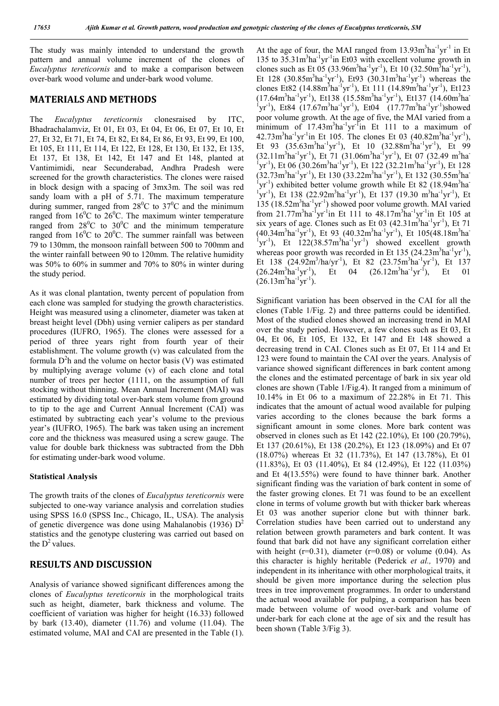The study was mainly intended to understand the growth pattern and annual volume increment of the clones of *Eucalyptus tereticornis* and to make a comparison between over-bark wood volume and under-bark wood volume.

### **MATERIALS AND METHODS**

The *Eucalyptus tereticornis* clonesraised by ITC, Bhadrachalamviz, Et 01, Et 03, Et 04, Et 06, Et 07, Et 10, Et 27, Et 32, Et 71, Et 74, Et 82, Et 84, Et 86, Et 93, Et 99, Et 100, Et 105, Et 111, Et 114, Et 122, Et 128, Et 130, Et 132, Et 135, Et 137, Et 138, Et 142, Et 147 and Et 148, planted at Vantimimidi, near Secunderabad, Andhra Pradesh were screened for the growth characteristics. The clones were raised in block design with a spacing of 3mx3m. The soil was red sandy loam with a pH of 5.71. The maximum temperature during summer, ranged from  $28^{\circ}$ C to  $37^{\circ}$ C and the minimum ranged from  $16^{\circ}$ C to  $26^{\circ}$ C. The maximum winter temperature ranged from  $28^{\circ}$ C to  $30^{\circ}$ C and the minimum temperature ranged from  $16^0C$  to  $20^0C$ . The summer rainfall was between 79 to 130mm, the monsoon rainfall between 500 to 700mm and the winter rainfall between 90 to 120mm. The relative humidity was 50% to 60% in summer and 70% to 80% in winter during the study period.

As it was clonal plantation, twenty percent of population from each clone was sampled for studying the growth characteristics. Height was measured using a clinometer, diameter was taken at breast height level (Dbh) using vernier calipers as per standard procedures (IUFRO, 1965). The clones were assessed for a period of three years right from fourth year of their establishment. The volume growth (v) was calculated from the formula  $D<sup>2</sup>$ h and the volume on hector basis (V) was estimated by multiplying average volume (v) of each clone and total number of trees per hector (1111, on the assumption of full stocking without thinning. Mean Annual Increment (MAI) was estimated by dividing total over-bark stem volume from ground to tip to the age and Current Annual Increment (CAI) was estimated by subtracting each year's volume to the previous year's (IUFRO, 1965). The bark was taken using an increment core and the thickness was measured using a screw gauge. The value for double bark thickness was subtracted from the Dbh for estimating under-bark wood volume.

#### **Statistical Analysis**

The growth traits of the clones of *Eucalyptus tereticornis* were subjected to one-way variance analysis and correlation studies using SPSS 16.0 (SPSS Inc., Chicago, IL, USA). The analysis of genetic divergence was done using Mahalanobis (1936)  $D^2$ statistics and the genotype clustering was carried out based on the  $D^2$  values.

# **RESULTS AND DISCUSSION**

Analysis of variance showed significant differences among the clones of *Eucalyptus tereticornis* in the morphological traits such as height, diameter, bark thickness and volume. The coefficient of variation was higher for height (16.33) followed by bark (13.40), diameter (11.76) and volume (11.04). The estimated volume, MAI and CAI are presented in the Table (1).

At the age of four, the MAI ranged from  $13.93 \text{m}^3 \text{ha}^{-1} \text{yr}^{-1}$  in Et 135 to 35.31m<sup>3</sup>ha<sup>-1</sup>yr<sup>-1</sup>in Et03 with excellent volume growth in clones such as Et 05 (33.96m<sup>3</sup>ha<sup>-1</sup>yr<sup>-1</sup>), Et 10 (32.50m<sup>3</sup>ha<sup>-1</sup>yr<sup>-1</sup>), Et 128 (30.85m<sup>3</sup>ha<sup>-1</sup>yr<sup>-1</sup>), Et93 (30.31m<sup>3</sup>ha<sup>-1</sup>yr<sup>-1</sup>) whereas the clones Et82 (14.88m<sup>3</sup>ha<sup>-1</sup>yr<sup>-1</sup>), Et 111 (14.89m<sup>3</sup>ha<sup>-1</sup>yr<sup>-1</sup>), Et123 (17.64m<sup>3</sup>ha<sup>-1</sup>yr<sup>-1</sup>), Et138 (15.58m<sup>3</sup>ha<sup>-1</sup>yr<sup>-1</sup>), Et137 (14.60m<sup>3</sup>ha<sup>-1</sup>) <sup>1</sup>yr<sup>-1</sup>), Et84 (17.67m<sup>3</sup>ha<sup>-1</sup>yr<sup>-1</sup>), Et04 (17.77m<sup>3</sup>ha<sup>-1</sup>yr<sup>-1</sup>)showed poor volume growth. At the age of five, the MAI varied from a  $minimum$  of  $17.43m<sup>3</sup>ha<sup>-1</sup>yr<sup>-1</sup>in$  Et  $111$  to a maximum of  $42.73 \text{m}^3 \text{ha}^{-1} \text{yr}^{-1}$  in Et 105. The clones Et 03 (40.82 $\text{m}^3 \text{ha}^{-1} \text{yr}^{-1}$ ), Et 93  $(35.63 \text{m}^3 \text{ha}^{-1} \text{yr}^{-1})$ , Et 10  $(32.88 \text{m}^3 \text{ha}^{-1} \text{yr}^{-1})$ , Et 99  $(32.11 \text{m}^3 \text{ha}^{-1} \text{yr}^{-1})$ , Et 71  $(31.06 \text{m}^3 \text{ha}^{-1} \text{yr}^{-1})$ , Et 07  $(32.49 \text{ m}^3 \text{ha}^{-1} \text{yr}^{-1})$ <sup>1</sup>yr<sup>-1</sup>), Et 06 (30.26m<sup>3</sup>ha<sup>-1</sup>yr<sup>-1</sup>), Et 122 (32.21m<sup>3</sup>ha<sup>-1</sup>yr<sup>-1</sup>), Et 128  $(32.73 \text{m}^3 \text{ha}^{-1} \text{yr}^{-1})$ , Et 130  $(33.22 \text{m}^3 \text{ha}^{-1} \text{yr}^{-1})$ , Et 132  $(30.55 \text{m}^3 \text{ha}^{-1})$ <sup>1</sup>yr<sup>-1</sup>) exhibited better volume growth while Et 82 (18.94m<sup>3</sup>ha<sup>-1</sup>) <sup>1</sup>yr<sup>-1</sup>), Et 138 (22.92m<sup>3</sup>ha<sup>-1</sup>yr<sup>-1</sup>), Et 137 (19.30 m<sup>3</sup>ha<sup>-1</sup>yr<sup>-1</sup>), Et 135 (18.52m<sup>3</sup>ha<sup>-1</sup>yr<sup>-1</sup>) showed poor volume growth. MAI varied from 21.77m<sup>3</sup>ha<sup>-1</sup>yr<sup>-1</sup>in Et 111 to 48.17m<sup>3</sup>ha<sup>-1</sup>yr<sup>-1</sup>in Et 105 at six years of age. Clones such as Et 03  $(42.31 \text{m}^3 \text{ha}^{-1} \text{yr}^{-1})$ , Et 71  $(40.34m<sup>3</sup>ha<sup>-1</sup>yr<sup>-1</sup>)$ , Et 93  $(40.32m<sup>3</sup>ha<sup>-1</sup>yr<sup>-1</sup>)$ , Et 105 $(48.18m<sup>3</sup>ha<sup>-1</sup>)$ <sup>1</sup>yr<sup>-1</sup>), Et 122(38.57m<sup>3</sup>ha<sup>-1</sup>yr<sup>-1</sup>) showed excellent growth whereas poor growth was recorded in Et 135  $(24.23 \text{m}^3 \text{ha}^{-1} \text{yr}^{-1})$ , Et 138  $(24.92m^3/ha/yr^{-1})$ , Et 82  $(23.75m^3ha^{-1}yr^{-1})$ , Et 137  $(26.24m<sup>3</sup>ha<sup>-1</sup>yr<sup>-1</sup>)$  $Et$  04  $\text{ha}^{-1}\text{yr}^{-1}$ ), Et 01  $(26.13m<sup>3</sup>ha<sup>-1</sup>yr<sup>-1</sup>).$ 

Significant variation has been observed in the CAI for all the clones (Table 1/Fig. 2) and three patterns could be identified. Most of the studied clones showed an increasing trend in MAI over the study period. However, a few clones such as Et 03, Et 04, Et 06, Et 105, Et 132, Et 147 and Et 148 showed a decreasing trend in CAI. Clones such as Et 07, Et 114 and Et 123 were found to maintain the CAI over the years. Analysis of variance showed significant differences in bark content among the clones and the estimated percentage of bark in six year old clones are shown (Table 1/Fig.4). It ranged from a minimum of 10.14% in Et 06 to a maximum of 22.28% in Et 71. This indicates that the amount of actual wood available for pulping varies according to the clones because the bark forms a significant amount in some clones. More bark content was observed in clones such as Et 142 (22.10%), Et 100 (20.79%), Et 137 (20.61%), Et 138 (20.2%), Et 123 (18.09%) and Et 07 (18.07%) whereas Et 32 (11.73%), Et 147 (13.78%), Et 01 (11.83%), Et 03 (11.40%), Et 84 (12.49%), Et 122 (11.03%) and Et 4(13.55%) were found to have thinner bark. Another significant finding was the variation of bark content in some of the faster growing clones. Et 71 was found to be an excellent clone in terms of volume growth but with thicker bark whereas Et 03 was another superior clone but with thinner bark. Correlation studies have been carried out to understand any relation between growth parameters and bark content. It was found that bark did not have any significant correlation either with height ( $r=0.31$ ), diameter ( $r=0.08$ ) or volume (0.04). As this character is highly heritable (Pederick *et al.,* 1970) and independent in its inheritance with other morphological traits, it should be given more importance during the selection plus trees in tree improvement programmes. In order to understand the actual wood available for pulping, a comparison has been made between volume of wood over-bark and volume of under-bark for each clone at the age of six and the result has been shown (Table 3/Fig 3).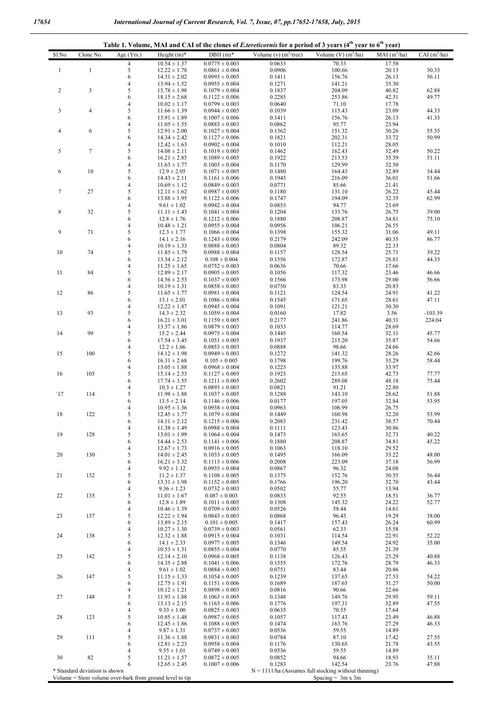| Table 1. Volume, MAI and CAI of the clones of <i>E.tereticornis</i> for a period of 3 years (4 <sup>th</sup> year to 6 <sup>th</sup> year) |                |                          |                                      |                                          |                          |                         |                |                |
|--------------------------------------------------------------------------------------------------------------------------------------------|----------------|--------------------------|--------------------------------------|------------------------------------------|--------------------------|-------------------------|----------------|----------------|
| Sl.No                                                                                                                                      | Clone No.      | Age (Yrs.)               | Height $(m)^*$                       | $DBH(m)*$                                | Volume (v) $(m^3$ /tree) | Volume $(V)$ $(m^3/ha)$ | $MAI(m^3/ha)$  | $CAI(m^3/ha)$  |
|                                                                                                                                            |                | $\overline{4}$           | $10.54 \pm 1.37$                     | $0.0775 \pm 0.003$                       | 0.0633                   | 70.33                   | 17.58          |                |
| $\mathbf{1}$                                                                                                                               | $\mathbf{1}$   | 5                        | $12.22 \pm 1.78$                     | $0.0861 \pm 0.004$                       | 0.0906                   | 100.66                  | 20.13          | 30.33          |
|                                                                                                                                            |                | 6                        | $14.31 \pm 2.02$                     | $0.0993 \pm 0.005$                       | 0.1411                   | 156.76                  | 26.13          | 56.11          |
|                                                                                                                                            |                | $\overline{4}$           | $13.94 \pm 1.52$                     | $0.0955 \pm 0.004$                       | 0.1271                   | 141.21                  | 35.30          |                |
| $\sqrt{2}$                                                                                                                                 | 3              | 5                        | $15.78 \pm 1.98$                     | $0.1079 \pm 0.004$                       | 0.1837                   | 204.09                  | 40.82          | 62.88          |
|                                                                                                                                            |                | 6<br>$\overline{4}$      | $18.15 \pm 2.68$                     | $0.1122 \pm 0.006$                       | 0.2285                   | 253.86                  | 42.31          | 49.77          |
| $\mathbf{3}$                                                                                                                               | $\overline{4}$ | 5                        | $10.02 \pm 1.17$<br>$11.66 \pm 1.39$ | $0.0799 \pm 0.003$                       | 0.0640<br>0.1039         | 71.10<br>115.43         | 17.78<br>23.09 | 44.33          |
|                                                                                                                                            |                | 6                        | $13.91 \pm 1.89$                     | $0.0944 \pm 0.005$<br>$0.1007 \pm 0.006$ | 0.1411                   | 156.76                  | 26.13          | 41.33          |
|                                                                                                                                            |                | $\overline{\mathbf{4}}$  | $11.05 \pm 1.55$                     | $0.0883 \pm 0.003$                       | 0.0862                   | 95.77                   | 23.94          |                |
| $\overline{4}$                                                                                                                             | 6              | 5                        | $12.91 \pm 2.00$                     | $0.1027 \pm 0.004$                       | 0.1362                   | 151.32                  | 30.26          | 55.55          |
|                                                                                                                                            |                | 6                        | $14.34 \pm 2.42$                     | $0.1127 \pm 0.006$                       | 0.1821                   | 202.31                  | 33.72          | 50.99          |
|                                                                                                                                            |                | $\overline{\mathbf{4}}$  | $12.42 \pm 1.63$                     | $0.0902 \pm 0.004$                       | 0.1010                   | 112.21                  | 28.05          |                |
| $\sqrt{5}$                                                                                                                                 | $\tau$         | 5                        | $14.08 \pm 2.11$                     | $0.1019 \pm 0.005$                       | 0.1462                   | 162.43                  | 32.49          | 50.22          |
|                                                                                                                                            |                | 6                        | $16.21 \pm 2.85$                     | $0.1089 \pm 0.005$                       | 0.1922                   | 213.53                  | 35.59          | 51.11          |
|                                                                                                                                            |                | $\overline{\mathbf{4}}$  | $11.63 \pm 1.77$                     | $0.1003 \pm 0.004$                       | 0.1170                   | 129.99                  | 32.50          |                |
| 6                                                                                                                                          | $10\,$         | 5                        | $12.9 \pm 2.05$                      | $0.1071 \pm 0.005$                       | 0.1480                   | 164.43                  | 32.89          | 34.44          |
|                                                                                                                                            |                | 6                        | $14.43 \pm 2.11$                     | $0.1161 \pm 0.006$                       | 0.1945                   | 216.09                  | 36.01          | 51.66          |
|                                                                                                                                            |                | $\overline{\mathbf{4}}$  | $10.69 \pm 1.12$                     | $0.0849 \pm 0.003$                       | 0.0771                   | 85.66                   | 21.41          |                |
| $\boldsymbol{7}$                                                                                                                           | 27             | 5                        | $12.11 \pm 1.62$                     | $0.0987 \pm 0.005$                       | 0.1180                   | 131.10                  | 26.22          | 45.44          |
|                                                                                                                                            |                | 6                        | $13.88 \pm 1.95$                     | $0.1122 \pm 0.006$                       | 0.1747                   | 194.09                  | 32.35          | 62.99          |
|                                                                                                                                            |                | $\overline{\mathbf{4}}$  | $9.61 \pm 1.02$                      | $0.0942 \pm 0.004$                       | 0.0853                   | 94.77                   | 23.69          |                |
| $\,$ 8 $\,$                                                                                                                                | 32             | 5<br>6                   | $11.11 \pm 1.43$<br>$12.8 \pm 1.76$  | $0.1041 \pm 0.004$<br>$0.1212 \pm 0.006$ | 0.1204<br>0.1880         | 133.76<br>208.87        | 26.75          | 39.00<br>75.10 |
|                                                                                                                                            |                | $\overline{4}$           | $10.48 \pm 1.21$                     | $0.0955 \pm 0.004$                       | 0.0956                   | 106.21                  | 34.81<br>26.55 |                |
| 9                                                                                                                                          | 71             | 5                        | $12.3 \pm 1.77$                      | $0.1066 \pm 0.004$                       | 0.1398                   | 155.32                  | 31.06          | 49.11          |
|                                                                                                                                            |                | 6                        | $14.1 \pm 2.16$                      | $0.1243 \pm 0.006$                       | 0.2179                   | 242.09                  | 40.35          | 86.77          |
|                                                                                                                                            |                | $\overline{\mathcal{L}}$ | $10.19 \pm 1.33$                     | $0.0888 \pm 0.003$                       | 0.0804                   | 89.32                   | 22.33          |                |
| 10                                                                                                                                         | 74             | 5                        | $11.85 \pm 1.79$                     | $0.0988 \pm 0.004$                       | 0.1157                   | 128.54                  | 25.71          | 39.22          |
|                                                                                                                                            |                | 6                        | $13.34 \pm 2.12$                     | $0.108 \pm 0.004$                        | 0.1556                   | 172.87                  | 28.81          | 44.33          |
|                                                                                                                                            |                | $\overline{\mathbf{4}}$  | $11.25 \pm 1.65$                     | $0.0752 \pm 0.003$                       | 0.0636                   | 70.66                   | 17.66          |                |
| 11                                                                                                                                         | 84             | 5                        | $12.89 \pm 2.17$                     | $0.0905 \pm 0.005$                       | 0.1056                   | 117.32                  | 23.46          | 46.66          |
|                                                                                                                                            |                | 6                        | $14.56 \pm 2.53$                     | $0.1037 \pm 0.005$                       | 0.1566                   | 173.98                  | 29.00          | 56.66          |
|                                                                                                                                            |                | $\overline{\mathbf{4}}$  | $10.19 \pm 1.31$                     | $0.0858 \pm 0.003$                       | 0.0750                   | 83.33                   | 20.83          |                |
| 12                                                                                                                                         | 86             | 5                        | $11.65 \pm 1.77$                     | $0.0981 \pm 0.004$                       | 0.1121                   | 124.54                  | 24.91          | 41.22          |
|                                                                                                                                            |                | 6                        | $13.1 \pm 2.01$                      | $0.1086 \pm 0.004$                       | 0.1545                   | 171.65                  | 28.61          | 47.11          |
|                                                                                                                                            |                | $\overline{\mathbf{4}}$  | $12.22 \pm 1.87$                     | $0.0945 \pm 0.004$                       | 0.1091                   | 121.21                  | 30.30          |                |
| 13                                                                                                                                         | 93             | 5                        | $14.3 \pm 2.32$                      | $0.1059 \pm 0.004$                       | 0.0160                   | 17.82                   | 3.56           | $-103.39$      |
|                                                                                                                                            |                | 6                        | $16.21 \pm 3.01$                     | $0.1159 \pm 0.005$                       | 0.2177                   | 241.86                  | 40.31          | 224.04         |
|                                                                                                                                            |                | $\overline{\mathbf{4}}$  | $13.37 \pm 1.86$                     | $0.0879 \pm 0.003$                       | 0.1033                   | 114.77                  | 28.69          |                |
| 14                                                                                                                                         | 99             | 5                        | $15.2 \pm 2.44$                      | $0.0975 \pm 0.004$                       | 0.1445                   | 160.54                  | 32.11          | 45.77          |
|                                                                                                                                            |                | 6                        | $17.54 \pm 3.45$                     | $0.1051 \pm 0.005$                       | 0.1937                   | 215.20                  | 35.87          | 54.66          |
| 15                                                                                                                                         | 100            | 4<br>5                   | $12.2 \pm 1.66$<br>$14.12 \pm 1.98$  | $0.0853 \pm 0.003$<br>$0.0949 \pm 0.003$ | 0.0888<br>0.1272         | 98.66<br>141.32         | 24.66<br>28.26 | 42.66          |
|                                                                                                                                            |                | 6                        | $16.31 \pm 2.68$                     | $0.105 \pm 0.005$                        | 0.1798                   | 199.76                  | 33.29          | 58.44          |
|                                                                                                                                            |                | 4                        | $13.05 \pm 1.88$                     | $0.0968 \pm 0.004$                       | 0.1223                   | 135.88                  | 33.97          |                |
| 16                                                                                                                                         | 105            | 5                        | $15.14 \pm 2.53$                     | $0.1127 \pm 0.005$                       | 0.1923                   | 213.65                  | 42.73          | 77.77          |
|                                                                                                                                            |                | 6                        | $17.74 \pm 3.55$                     | $0.1211 \pm 0.005$                       | 0.2602                   | 289.08                  | 48.18          | 75.44          |
|                                                                                                                                            |                | 4                        | $10.3 \pm 1.27$                      | $0.0893 \pm 0.003$                       | 0.0821                   | 91.21                   | 22.80          |                |
| 17                                                                                                                                         | 114            | 5                        | $11.98 \pm 1.88$                     | $0.1037 \pm 0.005$                       | 0.1288                   | 143.10                  | 28.62          | 51.88          |
|                                                                                                                                            |                | 6                        | $13.5 \pm 2.14$                      | $0.1146 \pm 0.006$                       | 0.0177                   | 197.05                  | 32.84          | 53.95          |
|                                                                                                                                            |                | 4                        | $10.95 \pm 1.36$                     | $0.0938 \pm 0.004$                       | 0.0963                   | 106.99                  | 26.75          |                |
| 18                                                                                                                                         | 122            | 5                        | $12.45 \pm 1.77$                     | $0.1079 \pm 0.004$                       | 0.1449                   | 160.98                  | 32.20          | 53.99          |
|                                                                                                                                            |                | 6                        | $14.11 \pm 2.12$                     | $0.1215 \pm 0.006$                       | 0.2083                   | 231.42                  | 38.57          | 70.44          |
|                                                                                                                                            |                | $\overline{\mathbf{4}}$  | $11.38 \pm 1.49$                     | $0.0988 \pm 0.004$                       | 0.1111                   | 123.43                  | 30.86          |                |
| 19                                                                                                                                         | 128            | 5                        | $13.01 \pm 1.99$                     | $0.1064 \pm 0.004$                       | 0.1473                   | 163.65                  | 32.73          | 40.22          |
|                                                                                                                                            |                | 6                        | $14.44 \pm 2.53$                     | $0.1141 \pm 0.006$                       | 0.1880                   | 208.87                  | 34.81          | 45.22          |
|                                                                                                                                            |                | 4                        | $12.67 \pm 1.73$                     | $0.0916 \pm 0.005$                       | 0.1063                   | 118.10                  | 29.52          | 48.00          |
| $20\,$                                                                                                                                     | 130            | 5<br>6                   | $14.01 \pm 2.45$<br>$16.21 \pm 3.32$ | $0.1033 \pm 0.005$<br>$0.1113 \pm 0.006$ | 0.1495<br>0.2008         | 166.09<br>223.09        | 33.22<br>37.18 | 56.99          |
|                                                                                                                                            |                | 4                        | $9.92 \pm 1.12$                      | $0.0935 \pm 0.004$                       | 0.0867                   | 96.32                   | 24.08          |                |
| 21                                                                                                                                         | 132            | 5                        | $11.2 \pm 1.37$                      | $0.1108 \pm 0.005$                       | 0.1375                   | 152.76                  | 30.55          | 56.44          |
|                                                                                                                                            |                | 6                        | $13.31 \pm 1.98$                     | $0.1152 \pm 0.005$                       | 0.1766                   | 196.20                  | 32.70          | 43.44          |
|                                                                                                                                            |                | 4                        | $9.36 \pm 1.23$                      | $0.0732 \pm 0.003$                       | 0.0502                   | 55.77                   | 13.94          |                |
| 22                                                                                                                                         | 135            | 5                        | $11.01 \pm 1.67$                     | $0.087 \pm 0.003$                        | 0.0833                   | 92.55                   | 18.51          | 36.77          |
|                                                                                                                                            |                | 6                        | $12.8 \pm 1.89$                      | $0.1011 \pm 0.005$                       | 0.1308                   | 145.32                  | 24.22          | 52.77          |
|                                                                                                                                            |                | $\overline{4}$           | $10.46 \pm 1.39$                     | $0.0709 \pm 0.003$                       | 0.0526                   | 58.44                   | 14.61          |                |
| 23                                                                                                                                         | 137            | 5                        | $12.22 \pm 1.94$                     | $0.0843 \pm 0.003$                       | 0.0868                   | 96.43                   | 19.29          | 38.00          |
|                                                                                                                                            |                | 6                        | $13.89 \pm 2.15$                     | $0.101 \pm 0.005$                        | 0.1417                   | 157.43                  | 26.24          | 60.99          |
|                                                                                                                                            |                | $\overline{4}$           | $10.27 \pm 1.30$                     | $0.0739 \pm 0.003$                       | 0.0561                   | 62.33                   | 15.58          |                |
| 24                                                                                                                                         | 138            | 5                        | $12.32 \pm 1.88$                     | $0.0915 \pm 0.004$                       | 0.1031                   | 114.54                  | 22.91          | 52.22          |
|                                                                                                                                            |                | 6                        | $14.1 \pm 2.33$                      | $0.0977 \pm 0.005$                       | 0.1346                   | 149.54                  | 24.92          | 35.00          |
|                                                                                                                                            |                | 4                        | $10.53 \pm 1.31$                     | $0.0855 \pm 0.004$                       | 0.0770                   | 85.55                   | 21.39          |                |
| 25                                                                                                                                         | 142            | 5<br>6                   | $12.14 \pm 2.10$<br>$14.35 \pm 2.88$ | $0.0968 \pm 0.005$                       | 0.1138                   | 126.43<br>172.76        | 25.29<br>28.79 | 40.88          |
|                                                                                                                                            |                | 4                        | $9.61 \pm 1.02$                      | $0.1041 \pm 0.006$<br>$0.0884 \pm 0.003$ | 0.1555<br>0.0751         | 83.44                   | 20.86          | 46.33          |
| 26                                                                                                                                         | 147            | 5                        | $11.15 \pm 1.33$                     | $0.1054 \pm 0.005$                       | 0.1239                   | 137.65                  | 27.53          | 54.22          |
|                                                                                                                                            |                | 6                        | $12.75 \pm 1.91$                     | $0.1151 \pm 0.006$                       | 0.1689                   | 187.65                  | 31.27          | 50.00          |
|                                                                                                                                            |                | 4                        | $10.12 \pm 1.21$                     | $0.0898 \pm 0.003$                       | 0.0816                   | 90.66                   | 22.66          |                |
| 27                                                                                                                                         | 148            | 5                        | $11.93 \pm 1.88$                     | $0.1063 \pm 0.005$                       | 0.1348                   | 149.76                  | 29.95          | 59.11          |
|                                                                                                                                            |                | 6                        | $13.13 \pm 2.15$                     | $0.1163 \pm 0.006$                       | 0.1776                   | 197.31                  | 32.89          | 47.55          |
|                                                                                                                                            |                | 4                        | $9.33 \pm 1.00$                      | $0.0825 \pm 0.003$                       | 0.0635                   | 70.55                   | 17.64          |                |
| 28                                                                                                                                         | 123            | 5                        | $10.85 \pm 1.48$                     | $0.0987 \pm 0.005$                       | 0.1057                   | 117.43                  | 23.49          | 46.88          |
|                                                                                                                                            |                | 6                        | $12.45 \pm 1.86$                     | $0.1088 \pm 0.005$                       | 0.1474                   | 163.76                  | 27.29          | 46.33          |
|                                                                                                                                            |                | 4                        | $9.87 \pm 1.31$                      | $0.0737 \pm 0.003$                       | 0.0536                   | 59.55                   | 14.89          |                |
| 29                                                                                                                                         | 111            | 5                        | $11.36 \pm 1.88$                     | $0.0831 \pm 0.003$                       | 0.0784                   | 87.10                   | 17.42          | 27.55          |
|                                                                                                                                            |                | 6                        | $12.81 \pm 2.23$                     | $0.0958 \pm 0.004$                       | 0.1176                   | 130.65                  | 21.78          | 43.55          |
|                                                                                                                                            |                | $\overline{4}$           | $9.55 \pm 1.01$                      | $0.0749 \pm 0.003$                       | 0.0536                   | 59.55                   | 14.89          |                |

82 5 11.21 ± 1.57 0.0872 ± 0.005 0.0852 94.66 18.93 35.11

6  $12.65 \pm 2.45$   $0.1007 \pm 0.006$   $0.1283$   $142.54$   $23.76$   $47.88$ <br>N = 1111/ha (Assumes full stocking without thinning)<br>Spacing = 3m x 3m<br>Spacing = 3m x 3m \* Standard deviation is shown N = 1111/ha (Assumes full stocking without thinning) Volume = Stem volume over-bark from ground level to tip  $Space = 3m \times 3m$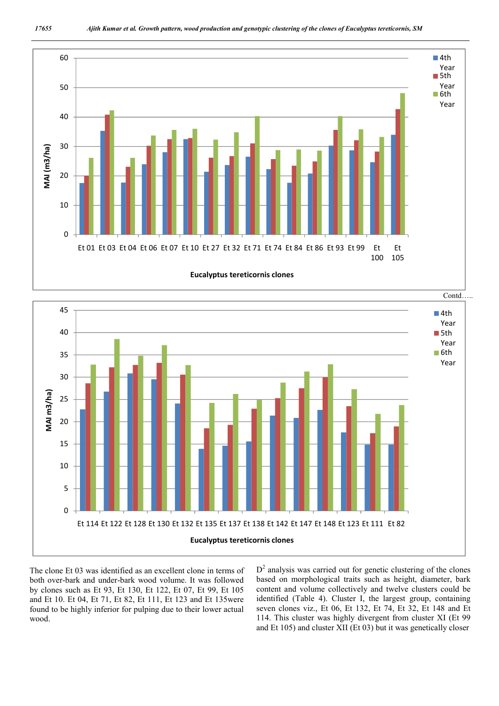



The clone Et 03 was identified as an excellent clone in terms of both over-bark and under-bark wood volume. It was followed by clones such as Et 93, Et 130, Et 122, Et 07, Et 99, Et 105 and Et 10. Et 04, Et 71, Et 82, Et 111, Et 123 and Et 135were found to be highly inferior for pulping due to their lower actual wood.

 $D<sup>2</sup>$  analysis was carried out for genetic clustering of the clones based on morphological traits such as height, diameter, bark content and volume collectively and twelve clusters could be identified (Table 4). Cluster I, the largest group, containing seven clones viz., Et 06, Et 132, Et 74, Et 32, Et 148 and Et 114. This cluster was highly divergent from cluster XI (Et 99 and Et 105) and cluster XII (Et 03) but it was genetically closer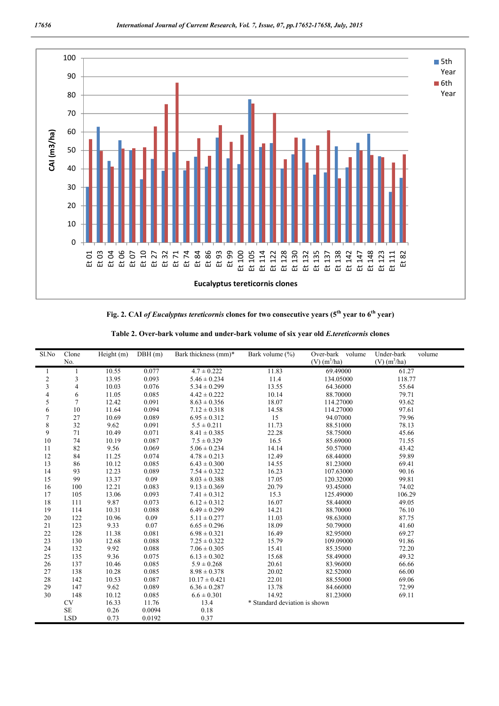

**Fig. 2. CAI** *of Eucalyptus tereticornis* **clones for two consecutive years (5th year to 6th year)**

| Sl.No                   | Clone<br>No.   | Height (m) | DBH(m) | Bark thickness (mm)* | Bark volume $(\% )$           | Over-bark volume<br>$(V)$ (m <sup>3</sup> /ha) | Under-bark<br>volume<br>$(V)$ (m <sup>3</sup> /ha) |
|-------------------------|----------------|------------|--------|----------------------|-------------------------------|------------------------------------------------|----------------------------------------------------|
|                         |                | 10.55      | 0.077  | $4.7 \pm 0.222$      | 11.83                         | 69.49000                                       | 61.27                                              |
| 1<br>$\overline{c}$     | 3              | 13.95      | 0.093  | $5.46 \pm 0.234$     | 11.4                          | 134,05000                                      | 118.77                                             |
| $\overline{\mathbf{3}}$ | $\overline{4}$ | 10.03      | 0.076  | $5.34 \pm 0.299$     | 13.55                         | 64.36000                                       | 55.64                                              |
| 4                       | 6              | 11.05      | 0.085  | $4.42 \pm 0.222$     | 10.14                         | 88.70000                                       | 79.71                                              |
| 5                       | $\overline{7}$ | 12.42      | 0.091  | $8.63 \pm 0.356$     | 18.07                         | 114.27000                                      | 93.62                                              |
| 6                       | 10             | 11.64      | 0.094  | $7.12 \pm 0.318$     | 14.58                         | 114.27000                                      | 97.61                                              |
| $\overline{7}$          | 27             | 10.69      | 0.089  | $6.95 \pm 0.312$     | 15                            | 94.07000                                       | 79.96                                              |
| 8                       | 32             | 9.62       | 0.091  | $5.5 \pm 0.211$      | 11.73                         | 88.51000                                       | 78.13                                              |
| 9                       | 71             | 10.49      | 0.071  | $8.41 \pm 0.385$     | 22.28                         | 58.75000                                       | 45.66                                              |
| 10                      | 74             | 10.19      | 0.087  | $7.5 \pm 0.329$      | 16.5                          | 85.69000                                       | 71.55                                              |
| 11                      | 82             | 9.56       | 0.069  | $5.06 \pm 0.234$     | 14.14                         | 50.57000                                       | 43.42                                              |
| 12                      | 84             | 11.25      | 0.074  | $4.78 \pm 0.213$     | 12.49                         | 68.44000                                       | 59.89                                              |
| 13                      | 86             | 10.12      | 0.085  | $6.43 \pm 0.300$     | 14.55                         | 81.23000                                       | 69.41                                              |
| 14                      | 93             | 12.23      | 0.089  | $7.54 \pm 0.322$     | 16.23                         | 107.63000                                      | 90.16                                              |
| 15                      | 99             | 13.37      | 0.09   | $8.03 \pm 0.388$     | 17.05                         | 120.32000                                      | 99.81                                              |
| 16                      | 100            | 12.21      | 0.083  | $9.13 \pm 0.369$     | 20.79                         | 93.45000                                       | 74.02                                              |
| 17                      | 105            | 13.06      | 0.093  | $7.41 \pm 0.312$     | 15.3                          | 125.49000                                      | 106.29                                             |
| 18                      | 111            | 9.87       | 0.073  | $6.12 \pm 0.312$     | 16.07                         | 58.44000                                       | 49.05                                              |
| 19                      | 114            | 10.31      | 0.088  | $6.49 \pm 0.299$     | 14.21                         | 88.70000                                       | 76.10                                              |
| $20\,$                  | 122            | 10.96      | 0.09   | $5.11 \pm 0.277$     | 11.03                         | 98.63000                                       | 87.75                                              |
| 21                      | 123            | 9.33       | 0.07   | $6.65 \pm 0.296$     | 18.09                         | 50.79000                                       | 41.60                                              |
| 22                      | 128            | 11.38      | 0.081  | $6.98 \pm 0.321$     | 16.49                         | 82.95000                                       | 69.27                                              |
| 23                      | 130            | 12.68      | 0.088  | $7.25 \pm 0.322$     | 15.79                         | 109.09000                                      | 91.86                                              |
| 24                      | 132            | 9.92       | 0.088  | $7.06 \pm 0.305$     | 15.41                         | 85.35000                                       | 72.20                                              |
| 25                      | 135            | 9.36       | 0.075  | $6.13 \pm 0.302$     | 15.68                         | 58.49000                                       | 49.32                                              |
| 26                      | 137            | 10.46      | 0.085  | $5.9 \pm 0.268$      | 20.61                         | 83.96000                                       | 66.66                                              |
| 27                      | 138            | 10.28      | 0.085  | $8.98 \pm 0.378$     | 20.02                         | 82.52000                                       | 66.00                                              |
| 28                      | 142            | 10.53      | 0.087  | $10.17 \pm 0.421$    | 22.01                         | 88.55000                                       | 69.06                                              |
| 29                      | 147            | 9.62       | 0.089  | $6.36 \pm 0.287$     | 13.78                         | 84.66000                                       | 72.99                                              |
| 30                      | 148            | 10.12      | 0.085  | $6.6 \pm 0.301$      | 14.92                         | 81.23000                                       | 69.11                                              |
|                         | <b>CV</b>      | 16.33      | 11.76  | 13.4                 | * Standard deviation is shown |                                                |                                                    |
|                         | <b>SE</b>      | 0.26       | 0.0094 | 0.18                 |                               |                                                |                                                    |
|                         | <b>LSD</b>     | 0.73       | 0.0192 | 0.37                 |                               |                                                |                                                    |

**Table 2. Over-bark volume and under-bark volume of six year old** *E.tereticornis* **clones**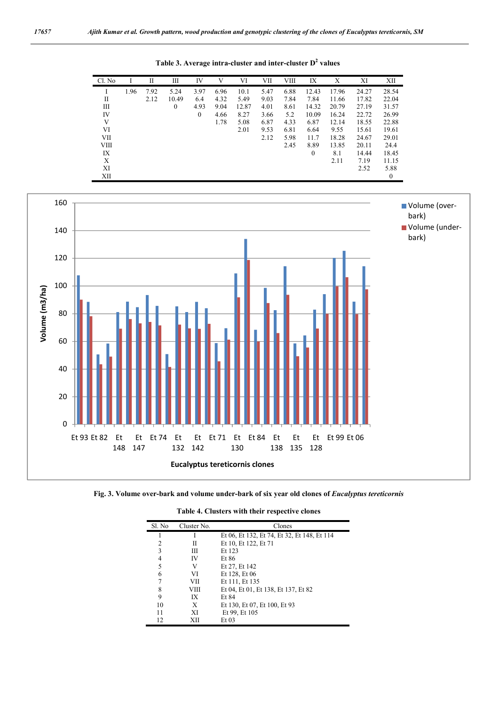**Table 3. Average intra-cluster and inter-cluster D<sup>2</sup> values**

Cl. No I II III IV V VI VII VIII IX X XI XII I 1.96 7.92 5.24 3.97 6.96 10.1 5.47 6.88 12.43 17.96 24.27 28.54 II 2.12 10.49 6.4 4.32 5.49 9.03 7.84 7.84 11.66 17.82 22.04 III 0 4.93 9.04 12.87 4.01 8.61 14.32 20.79 27.19 31.57 IV 0 4.66 8.27 3.66 5.2 10.09 16.24 22.72 26.99 V 1.78 5.08 6.87 4.33 6.87 12.14 18.55 22.88 VI 2.01 9.53 6.81 6.64 9.55 15.61 19.61 VII 2.12 5.98 11.7 18.28 24.67 29.01 VIII 24.4 2.45 8.89 13.85 20.11 24.4 IX 0 8.1 14.44 18.45 X 2.11 7.19 11.15  $XI$  2.52 5.88 XII and the contract of the contract of the contract of the contract of the contract of the contract of the contract of the contract of the contract of the contract of the contract of the contract of the contract of the co



**Fig. 3. Volume over-bark and volume under-bark of six year old clones of** *Eucalyptus tereticornis*

| Sl. No | Cluster No. | Clones                                      |
|--------|-------------|---------------------------------------------|
|        |             | Et 06, Et 132, Et 74, Et 32, Et 148, Et 114 |
| 2      | Н           | Et 10, Et 122, Et 71                        |
| 3      | Ш           | Et 123                                      |
| 4      | IV          | Et 86                                       |
| 5      | V           | Et 27, Et 142                               |
| 6      | VI          | Et 128, Et 06                               |
|        | VІІ         | Et 111, Et 135                              |
| 8      | VIII        | Et 04, Et 01, Et 138, Et 137, Et 82         |
| 9      | IX          | <b>Et 84</b>                                |
| 10     | X           | Et 130, Et 07, Et 100, Et 93                |
| 11     | XI          | Et 99, Et 105                               |
| 12     | XII         | $Et$ 03                                     |